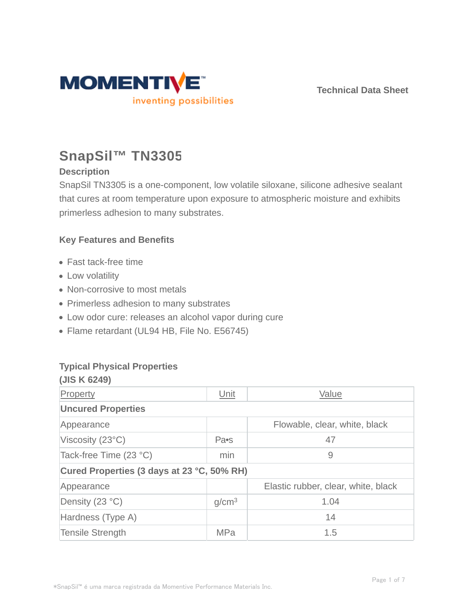

# **SnapSil™ TN3305**

## **Description**

SnapSil TN3305 is a one-component, low volatile siloxane, silicone adhesive sealant that cures at room temperature upon exposure to atmospheric moisture and exhibits primerless adhesion to many substrates.

## **Key Features and Benefits**

- Fast tack-free time
- Low volatility
- Non-corrosive to most metals
- Primerless adhesion to many substrates
- Low odor cure: releases an alcohol vapor during cure
- Flame retardant (UL94 HB, File No. E56745)

## **Typical Physical Properties**

| (JIS K 6249)                               |                   |                                     |  |  |  |
|--------------------------------------------|-------------------|-------------------------------------|--|--|--|
| Property                                   | Unit              | Value                               |  |  |  |
| <b>Uncured Properties</b>                  |                   |                                     |  |  |  |
| Appearance                                 |                   | Flowable, clear, white, black       |  |  |  |
| Viscosity $(23^{\circ}C)$                  | Pa•s              | 47                                  |  |  |  |
| Tack-free Time (23 °C)                     | min               | 9                                   |  |  |  |
| Cured Properties (3 days at 23 °C, 50% RH) |                   |                                     |  |  |  |
| Appearance                                 |                   | Elastic rubber, clear, white, black |  |  |  |
| Density (23 °C)                            | g/cm <sup>3</sup> | 1.04                                |  |  |  |
| Hardness (Type A)                          |                   | 14                                  |  |  |  |
| <b>Tensile Strength</b>                    | <b>MPa</b>        | 1.5                                 |  |  |  |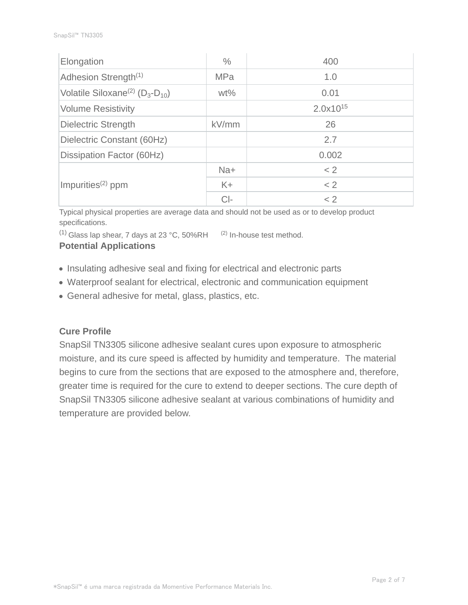| Elongation                                            | $\%$              | 400           |
|-------------------------------------------------------|-------------------|---------------|
| Adhesion Strength <sup>(1)</sup>                      | <b>MPa</b><br>1.0 |               |
| Volatile Siloxane <sup>(2)</sup> ( $D_3$ - $D_{10}$ ) | $wt\%$            | 0.01          |
| <b>Volume Resistivity</b>                             |                   | $2.0x10^{15}$ |
| <b>Dielectric Strength</b>                            | kV/mm             | 26            |
| Dielectric Constant (60Hz)                            |                   | 2.7           |
| Dissipation Factor (60Hz)                             |                   | 0.002         |
|                                                       | Na+               | < 2           |
| Impurities <sup>(2)</sup> ppm                         | $K +$             | < 2           |
|                                                       | $Cl-$             | < 2           |

Typical physical properties are average data and should not be used as or to develop product specifications.

 $(1)$  Glass lap shear, 7 days at 23 °C, 50%RH  $(2)$  In-house test method.

#### **Potential Applications**

- Insulating adhesive seal and fixing for electrical and electronic parts
- Waterproof sealant for electrical, electronic and communication equipment
- General adhesive for metal, glass, plastics, etc.

#### **Cure Profile**

SnapSil TN3305 silicone adhesive sealant cures upon exposure to atmospheric moisture, and its cure speed is affected by humidity and temperature. The material begins to cure from the sections that are exposed to the atmosphere and, therefore, greater time is required for the cure to extend to deeper sections. The cure depth of SnapSil TN3305 silicone adhesive sealant at various combinations of humidity and temperature are provided below.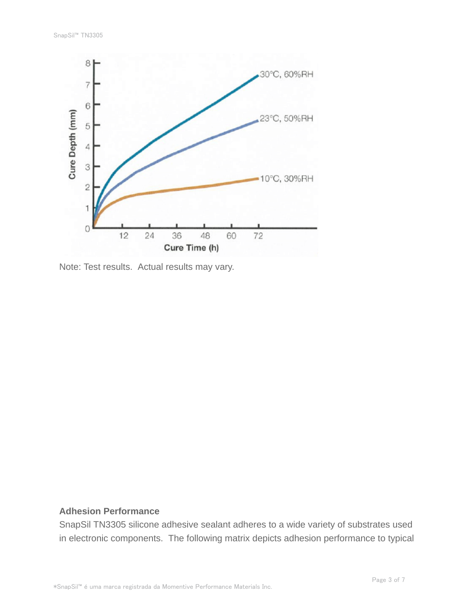

Note: Test results. Actual results may vary.

#### **Adhesion Performance**

SnapSil TN3305 silicone adhesive sealant adheres to a wide variety of substrates used in electronic components. The following matrix depicts adhesion performance to typical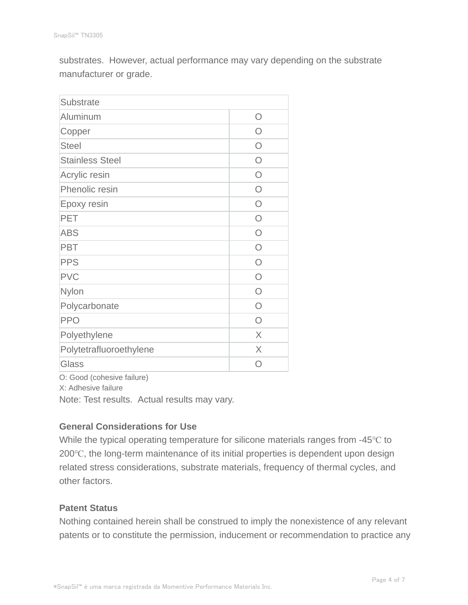substrates. However, actual performance may vary depending on the substrate manufacturer or grade.

| <b>Substrate</b>        |           |
|-------------------------|-----------|
| Aluminum                | ∩         |
| Copper                  | ∩         |
| <b>Steel</b>            | ∩         |
| <b>Stainless Steel</b>  | ∩         |
| Acrylic resin           | $\bigcap$ |
| Phenolic resin          | $\bigcap$ |
| Epoxy resin             | $\bigcap$ |
| <b>PET</b>              | $\bigcap$ |
| <b>ABS</b>              | $\bigcap$ |
| <b>PBT</b>              | $\bigcap$ |
| <b>PPS</b>              | ∩         |
| <b>PVC</b>              | ∩         |
| Nylon                   | ∩         |
| Polycarbonate           | ∩         |
| <b>PPO</b>              | ∩         |
| Polyethylene            | X         |
| Polytetrafluoroethylene | X         |
| Glass                   |           |

O: Good (cohesive failure)

X: Adhesive failure

Note: Test results. Actual results may vary.

#### **General Considerations for Use**

While the typical operating temperature for silicone materials ranges from -45℃ to 200℃, the long-term maintenance of its initial properties is dependent upon design related stress considerations, substrate materials, frequency of thermal cycles, and other factors.

#### **Patent Status**

Nothing contained herein shall be construed to imply the nonexistence of any relevant patents or to constitute the permission, inducement or recommendation to practice any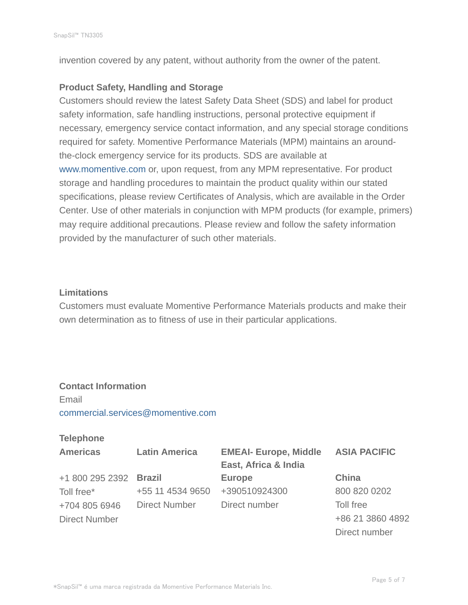invention covered by any patent, without authority from the owner of the patent.

#### **Product Safety, Handling and Storage**

Customers should review the latest Safety Data Sheet (SDS) and label for product safety information, safe handling instructions, personal protective equipment if necessary, emergency service contact information, and any special storage conditions required for safety. Momentive Performance Materials (MPM) maintains an aroundthe-clock emergency service for its products. SDS are available at www.momentive.com or, upon request, from any MPM representative. For product storage and handling procedures to maintain the product quality within our stated specifications, please review Certificates of Analysis, which are available in the Order Center. Use of other materials in conjunction with MPM products (for example, primers) may require additional precautions. Please review and follow the safety information provided by the manufacturer of such other materials.

#### **Limitations**

Customers must evaluate Momentive Performance Materials products and make their own determination as to fitness of use in their particular applications.

## **Contact Information**

Email commercial.services@momentive.com

#### **Telephone**

| <b>Americas</b>      | <b>Latin America</b> | <b>EMEAI- Europe, Middle</b> | <b>ASIA PACIFIC</b> |
|----------------------|----------------------|------------------------------|---------------------|
|                      |                      | East, Africa & India         |                     |
| +1 800 295 2392      | <b>Brazil</b>        | <b>Europe</b>                | China               |
| Toll free*           | +55 11 4534 9650     | +390510924300                | 800 820 0202        |
| +704 805 6946        | <b>Direct Number</b> | Direct number                | Toll free           |
| <b>Direct Number</b> |                      |                              | +86 21 3860 4892    |
|                      |                      |                              | Direct number       |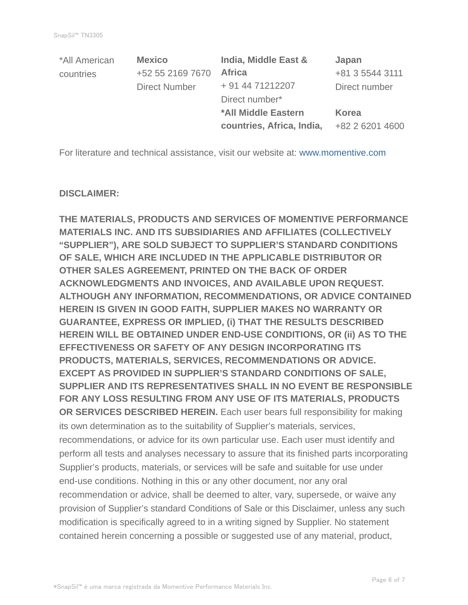| *All American | <b>Mexico</b>        | India, Middle East &      | Japan           |
|---------------|----------------------|---------------------------|-----------------|
| countries     | +52 55 2169 7670     | <b>Africa</b>             | +81 3 5544 3111 |
|               | <b>Direct Number</b> | + 91 44 71212207          | Direct number   |
|               |                      | Direct number*            |                 |
|               |                      | *All Middle Eastern       | <b>Korea</b>    |
|               |                      | countries, Africa, India, | +82 2 6201 4600 |

For literature and technical assistance, visit our website at: www.momentive.com

#### **DISCLAIMER:**

**THE MATERIALS, PRODUCTS AND SERVICES OF MOMENTIVE PERFORMANCE MATERIALS INC. AND ITS SUBSIDIARIES AND AFFILIATES (COLLECTIVELY "SUPPLIER"), ARE SOLD SUBJECT TO SUPPLIER'S STANDARD CONDITIONS OF SALE, WHICH ARE INCLUDED IN THE APPLICABLE DISTRIBUTOR OR OTHER SALES AGREEMENT, PRINTED ON THE BACK OF ORDER ACKNOWLEDGMENTS AND INVOICES, AND AVAILABLE UPON REQUEST. ALTHOUGH ANY INFORMATION, RECOMMENDATIONS, OR ADVICE CONTAINED HEREIN IS GIVEN IN GOOD FAITH, SUPPLIER MAKES NO WARRANTY OR GUARANTEE, EXPRESS OR IMPLIED, (i) THAT THE RESULTS DESCRIBED HEREIN WILL BE OBTAINED UNDER END-USE CONDITIONS, OR (ii) AS TO THE EFFECTIVENESS OR SAFETY OF ANY DESIGN INCORPORATING ITS PRODUCTS, MATERIALS, SERVICES, RECOMMENDATIONS OR ADVICE. EXCEPT AS PROVIDED IN SUPPLIER'S STANDARD CONDITIONS OF SALE, SUPPLIER AND ITS REPRESENTATIVES SHALL IN NO EVENT BE RESPONSIBLE FOR ANY LOSS RESULTING FROM ANY USE OF ITS MATERIALS, PRODUCTS OR SERVICES DESCRIBED HEREIN.** Each user bears full responsibility for making its own determination as to the suitability of Supplier's materials, services, recommendations, or advice for its own particular use. Each user must identify and perform all tests and analyses necessary to assure that its finished parts incorporating Supplier's products, materials, or services will be safe and suitable for use under end-use conditions. Nothing in this or any other document, nor any oral recommendation or advice, shall be deemed to alter, vary, supersede, or waive any provision of Supplier's standard Conditions of Sale or this Disclaimer, unless any such modification is specifically agreed to in a writing signed by Supplier. No statement contained herein concerning a possible or suggested use of any material, product,